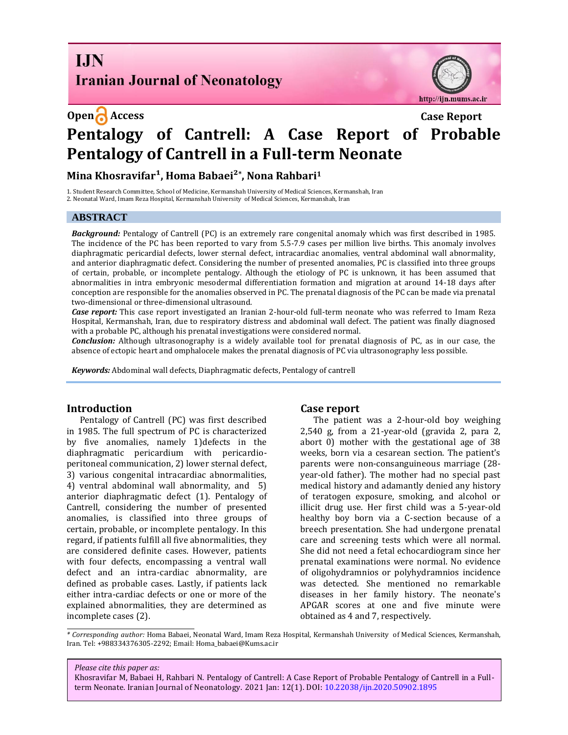**I.IN Iranian Journal of Neonatology** 



# **Open Access Case Report Pentalogy of Cantrell: A Case Report of Probable Pentalogy of Cantrell in a Full-term Neonate**

**Mina Khosravifar¹, Homa Babaei²\* , Nona Rahbari<sup>1</sup>**

1. Student Research Committee, School of Medicine, Kermanshah University of Medical Sciences, Kermanshah, Iran 2. Neonatal Ward, Imam Reza Hospital, Kermanshah University of Medical Sciences, Kermanshah, Iran

### **ABSTRACT**

*Background:* Pentalogy of Cantrell (PC) is an extremely rare congenital anomaly which was first described in 1985. The incidence of the PC has been reported to vary from 5.5-7.9 cases per million live births. This anomaly involves diaphragmatic pericardial defects, lower sternal defect, intracardiac anomalies, ventral abdominal wall abnormality, and anterior diaphragmatic defect. Considering the number of presented anomalies, PC is classified into three groups of certain, probable, or incomplete pentalogy. Although the etiology of PC is unknown, it has been assumed that abnormalities in intra embryonic mesodermal differentiation formation and migration at around 14-18 days after conception are responsible for the anomalies observed in PC. The prenatal diagnosis of the PC can be made via prenatal two-dimensional or three-dimensional ultrasound.

*Case report:* This case report investigated an Iranian 2-hour-old full-term neonate who was referred to Imam Reza Hospital, Kermanshah, Iran, due to respiratory distress and abdominal wall defect. The patient was finally diagnosed with a probable PC, although his prenatal investigations were considered normal.

*Conclusion:* Although ultrasonography is a widely available tool for prenatal diagnosis of PC, as in our case, the absence of ectopic heart and omphalocele makes the prenatal diagnosis of PC via ultrasonography less possible.

*Keywords:* Abdominal wall defects, Diaphragmatic defects, Pentalogy of cantrell

#### **Introduction**

Pentalogy of Cantrell (PC) was first described in 1985. The full spectrum of PC is characterized by five anomalies, namely 1)defects in the diaphragmatic pericardium with pericardioperitoneal communication, 2) lower sternal defect, 3) various congenital intracardiac abnormalities, 4) ventral abdominal wall abnormality, and 5) anterior diaphragmatic defect (1). Pentalogy of Cantrell, considering the number of presented anomalies, is classified into three groups of certain, probable, or incomplete pentalogy. In this regard, if patients fulfill all five abnormalities, they are considered definite cases. However, patients with four defects, encompassing a ventral wall defect and an intra-cardiac abnormality, are defined as probable cases. Lastly, if patients lack either intra-cardiac defects or one or more of the explained abnormalities, they are determined as incomplete cases (2).

#### **Case report**

The patient was a 2-hour-old boy weighing 2,540 g, from a 21-year-old (gravida 2, para 2, abort 0) mother with the gestational age of 38 weeks, born via a cesarean section. The patient's parents were non-consanguineous marriage (28 year-old father). The mother had no special past medical history and adamantly denied any history of teratogen exposure, smoking, and alcohol or illicit drug use. Her first child was a 5-year-old healthy boy born via a C-section because of a breech presentation. She had undergone prenatal care and screening tests which were all normal. She did not need a fetal echocardiogram since her prenatal examinations were normal. No evidence of oligohydramnios or polyhydramnios incidence was detected. She mentioned no remarkable diseases in her family history. The neonate's APGAR scores at one and five minute were obtained as 4 and 7, respectively.

*\* Corresponding author:* Homa Babaei, Neonatal Ward, Imam Reza Hospital, Kermanshah University of Medical Sciences, Kermanshah, Iran. Tel: +988334376305-2292; Email: Homa\_babaei@Kums.ac.ir

#### *Please cite this paper as:*

Khosravifar M, Babaei H, Rahbari N. Pentalogy of Cantrell: A Case Report of Probable Pentalogy of Cantrell in a Fullterm Neonate. Iranian Journal of Neonatology. 2021 Jan: 12(1). DOI: [10.22038/ijn.2020.50902.1895](https://ijn.mums.ac.ir/)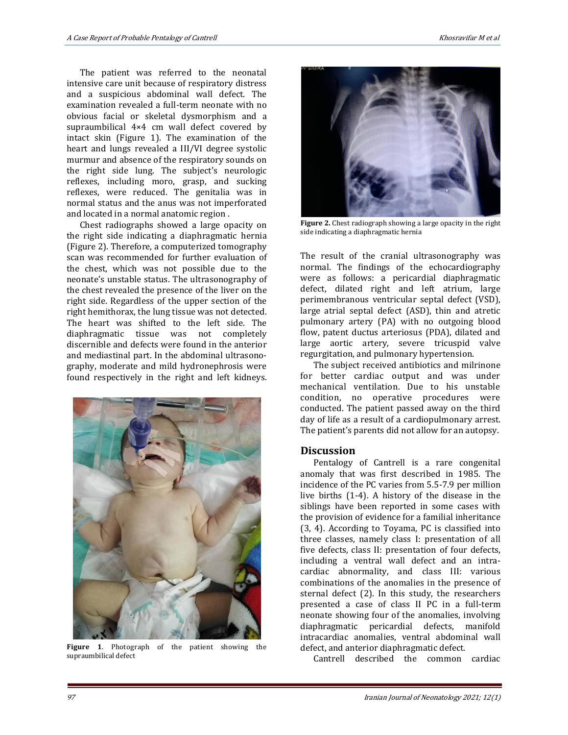The patient was referred to the neonatal intensive care unit because of respiratory distress and a suspicious abdominal wall defect. The examination revealed a full-term neonate with no obvious facial or skeletal dysmorphism and a supraumbilical 4×4 cm wall defect covered by intact skin (Figure 1). The examination of the heart and lungs revealed a III/VI degree systolic murmur and absence of the respiratory sounds on the right side lung. The subject's neurologic reflexes, including moro, grasp, and sucking reflexes, were reduced. The genitalia was in normal status and the anus was not imperforated and located in a normal anatomic region .

Chest radiographs showed a large opacity on the right side indicating a diaphragmatic hernia (Figure 2). Therefore, a computerized tomography scan was recommended for further evaluation of the chest, which was not possible due to the neonate's unstable status. The ultrasonography of the chest revealed the presence of the liver on the right side. Regardless of the upper section of the right hemithorax, the lung tissue was not detected. The heart was shifted to the left side. The diaphragmatic tissue was not completely discernible and defects were found in the anterior and mediastinal part. In the abdominal ultrasonography, moderate and mild hydronephrosis were found respectively in the right and left kidneys.



**Figure 1**. Photograph of the patient showing the supraumbilical defect



**Figure 2.** Chest radiograph showing a large opacity in the right side indicating a diaphragmatic hernia

The result of the cranial ultrasonography was normal. The findings of the echocardiography were as follows: a pericardial diaphragmatic defect, dilated right and left atrium, large perimembranous ventricular septal defect (VSD), large atrial septal defect (ASD), thin and atretic pulmonary artery (PA) with no outgoing blood flow, patent ductus arteriosus (PDA), dilated and large aortic artery, severe tricuspid valve regurgitation, and pulmonary hypertension.

The subject received antibiotics and milrinone for better cardiac output and was under mechanical ventilation. Due to his unstable condition, no operative procedures were conducted. The patient passed away on the third day of life as a result of a cardiopulmonary arrest. The patient's parents did not allow for an autopsy.

#### **Discussion**

Pentalogy of Cantrell is a rare congenital anomaly that was first described in 1985. The incidence of the PC varies from 5.5-7.9 per million live births (1-4). A history of the disease in the siblings have been reported in some cases with the provision of evidence for a familial inheritance (3, 4). According to Toyama, PC is classified into three classes, namely class I: presentation of all five defects, class II: presentation of four defects, including a ventral wall defect and an intracardiac abnormality, and class III: various combinations of the anomalies in the presence of sternal defect (2). In this study, the researchers presented a case of class II PC in a full-term neonate showing four of the anomalies, involving diaphragmatic pericardial defects, manifold intracardiac anomalies, ventral abdominal wall defect, and anterior diaphragmatic defect.

Cantrell described the common cardiac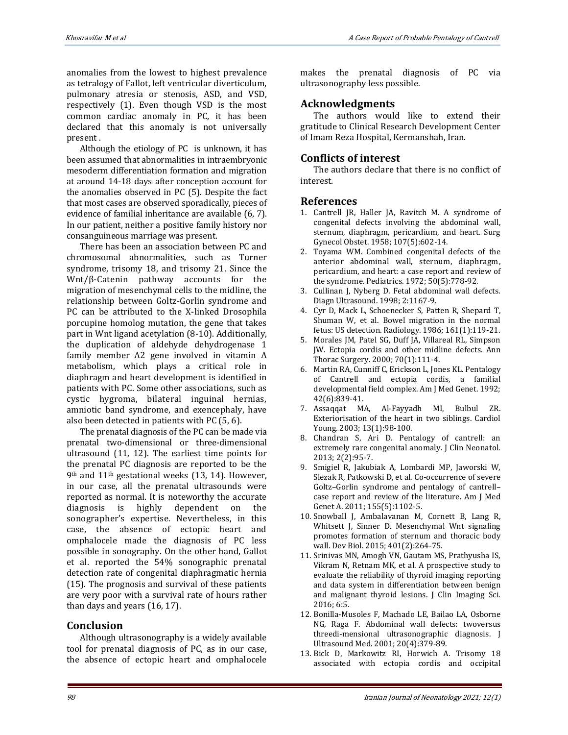anomalies from the lowest to highest prevalence as tetralogy of Fallot, left ventricular diverticulum, pulmonary atresia or stenosis, ASD, and VSD, respectively (1). Even though VSD is the most common cardiac anomaly in PC, it has been declared that this anomaly is not universally present .

Although the etiology of PC is unknown, it has been assumed that abnormalities in intraembryonic mesoderm differentiation formation and migration at around 14-18 days after conception account for the anomalies observed in PC (5). Despite the fact that most cases are observed sporadically, pieces of evidence of familial inheritance are available (6, 7). In our patient, neither a positive family history nor consanguineous marriage was present.

There has been an association between PC and chromosomal abnormalities, such as Turner syndrome, trisomy 18, and trisomy 21. Since the Wnt/β-Catenin pathway accounts for the migration of mesenchymal cells to the midline, the relationship between Goltz-Gorlin syndrome and PC can be attributed to the X-linked Drosophila porcupine homolog mutation, the gene that takes part in Wnt ligand acetylation (8-10). Additionally, the duplication of aldehyde dehydrogenase 1 family member A2 gene involved in vitamin A metabolism, which plays a critical role in diaphragm and heart development is identified in patients with PC. Some other associations, such as cystic hygroma, bilateral inguinal hernias, amniotic band syndrome, and exencephaly, have also been detected in patients with PC (5, 6).

The prenatal diagnosis of the PC can be made via prenatal two-dimensional or three-dimensional ultrasound (11, 12). The earliest time points for the prenatal PC diagnosis are reported to be the 9th and 11th gestational weeks (13, 14). However, in our case, all the prenatal ultrasounds were reported as normal. It is noteworthy the accurate diagnosis is highly dependent on the sonographer's expertise. Nevertheless, in this case, the absence of ectopic heart and omphalocele made the diagnosis of PC less possible in sonography. On the other hand, Gallot et al. reported the 54% sonographic prenatal detection rate of congenital diaphragmatic hernia (15). The prognosis and survival of these patients are very poor with a survival rate of hours rather than days and years (16, 17).

# **Conclusion**

Although ultrasonography is a widely available tool for prenatal diagnosis of PC, as in our case, the absence of ectopic heart and omphalocele makes the prenatal diagnosis of PC via ultrasonography less possible.

# **Acknowledgments**

The authors would like to extend their gratitude to Clinical Research Development Center of Imam Reza Hospital, Kermanshah, Iran.

# **Conflicts of interest**

The authors declare that there is no conflict of interest.

## **References**

- 1. Cantrell JR, Haller JA, Ravitch M. A syndrome of congenital defects involving the abdominal wall, sternum, diaphragm, pericardium, and heart. Surg Gynecol Obstet. 1958; 107(5):602-14.
- 2. Toyama WM. Combined congenital defects of the anterior abdominal wall, sternum, diaphragm, pericardium, and heart: a case report and review of the syndrome. Pediatrics. 1972; 50(5):778-92.
- 3. Cullinan J, Nyberg D. Fetal abdominal wall defects. Diagn Ultrasound. 1998; 2:1167-9.
- 4. Cyr D, Mack L, Schoenecker S, Patten R, Shepard T, Shuman W, et al. Bowel migration in the normal fetus: US detection. Radiology. 1986; 161(1):119-21.
- 5. Morales JM, Patel SG, Duff JA, Villareal RL, Simpson JW. Ectopia cordis and other midline defects. Ann Thorac Surgery. 2000; 70(1):111-4.
- 6. Martin RA, Cunniff C, Erickson L, Jones KL. Pentalogy of Cantrell and ectopia cordis, a familial developmental field complex. Am J Med Genet. 1992; 42(6):839-41.
- 7. Assaqqat MA, Al-Fayyadh MI, Bulbul ZR. Exteriorisation of the heart in two siblings. Cardiol Young. 2003; 13(1):98-100.
- 8. Chandran S, Ari D. Pentalogy of cantrell: an extremely rare congenital anomaly. J Clin Neonatol. 2013; 2(2):95-7.
- 9. Smigiel R, Jakubiak A, Lombardi MP, Jaworski W, Slezak R, Patkowski D, et al. Co‐occurrence of severe Goltz–Gorlin syndrome and pentalogy of cantrell– case report and review of the literature. Am J Med Genet A. 2011; 155(5):1102-5.
- 10. Snowball J, Ambalavanan M, Cornett B, Lang R, Whitsett J, Sinner D. Mesenchymal Wnt signaling promotes formation of sternum and thoracic body wall. Dev Biol. 2015; 401(2):264-75.
- 11. Srinivas MN, Amogh VN, Gautam MS, Prathyusha IS, Vikram N, Retnam MK, et al. A prospective study to evaluate the reliability of thyroid imaging reporting and data system in differentiation between benign and malignant thyroid lesions. J Clin Imaging Sci. 2016; 6:5.
- 12. Bonilla-Musoles F, Machado LE, Bailao LA, Osborne NG, Raga F. Abdominal wall defects: twoversus threedi-mensional ultrasonographic diagnosis. J Ultrasound Med. 2001; 20(4):379-89.
- 13. Bick D, Markowitz RI, Horwich A. Trisomy 18 associated with ectopia cordis and occipital